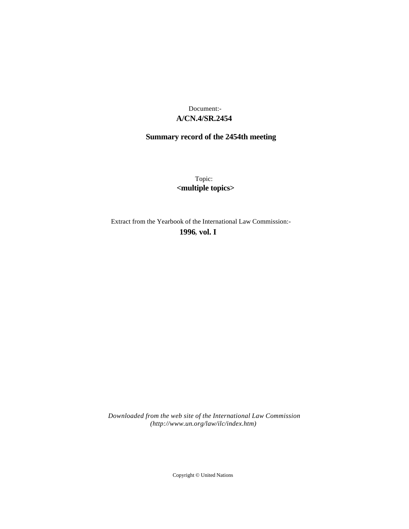## **A/CN.4/SR.2454** Document:-

# **Summary record of the 2454th meeting**

Topic: **<multiple topics>**

Extract from the Yearbook of the International Law Commission:-

**1996** , **vol. I**

*Downloaded from the web site of the International Law Commission (http://www.un.org/law/ilc/index.htm)*

Copyright © United Nations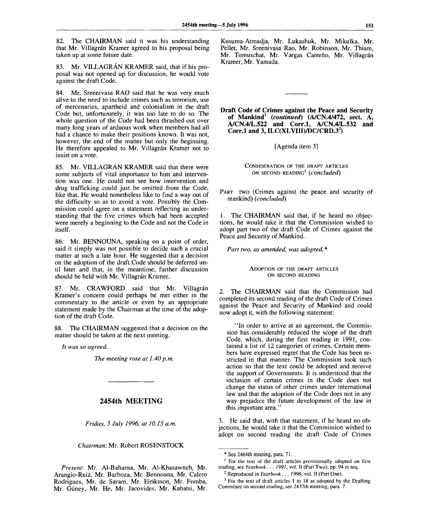82. The CHAIRMAN said it was his understanding that Mr. Villagrán Kramer agreed to his proposal being taken up at some future date.

83. Mr. VILLAGRAN KRAMER said, that if his proposal was not opened up for discussion, he would vote against the draft Code.

84. Mr. Sreenivasa RAO said that he was very much alive to the need to include crimes such as terrorism, use of mercenaries, apartheid and colonialism in the draft Code but, unfortunately, it was too late to do so. The whole question of the Code had been thrashed out over many long years of arduous work when members had all had a chance to make their positions known. It was not, however, the end of the matter but only the beginning. He therefore appealed to Mr. Villagrán Kramer not to insist on a vote.

85. Mr. VILLAGRAN KRAMER said that there were some subjects of vital importance to him and intervention was one. He could not see how intervention and drug trafficking could just be omitted from the Code, like that. He would nonetheless like to find a way out of the difficulty so as to avoid a vote. Possibly the Commission could agree on a statement reflecting an understanding that the five crimes which had been accepted were merely a beginning to the Code and not the Code in itself.

86. Mr. BENNOUNA, speaking on a point of order, said it simply was not possible to decide such a crucial matter at such a late hour. He suggested that a decision on the adoption of the draft Code should be deferred until later and that, in the meantime, further discussion should be held with Mr. Villagrán Kramer.

87. Mr. CRAWFORD said that Mr. Villagrán Kramer's concern could perhaps be met either in the commentary to the article or even by an appropriate statement made by the Chairman at the time of the adoption of the draft Code.

88. The CHAIRMAN suggested that a decision on the matter should be taken at the next meeting.

*It was so agreed.*

*The meeting rose at 1.40 p.m.* 

### **2454th MEETING**

*Friday, 5 July 1996, at 10.15 a.m.*

*Chairman:* Mr. Robert ROSENSTOCK

*Present:* Mr. Al-Baharna, Mr. Al-Khasawneh, Mr. Arangio-Ruiz, Mr. Barboza, Mr. Bennouna, Mr. Calero Rodrigues, Mr. de Saram, Mr. Eiriksson, Mr. Fomba, Mr. Giiney, Mr. He, Mr. Jacovides, Mr. Kabatsi, Mr.

Kusuma-Atmadja, Mr. Lukashuk, Mr. Mikulka, Mr. Pellet, Mr. Sreenivasa Rao, Mr. Robinson, Mr. Thiam, Mr. Tomuschat, Mr. Vargas Carreño, Mr. Villagrán Kramer, Mr. Yamada.

**Draft Code of Crimes against the Peace and Security of Mankind<sup>1</sup>**  *{continued)* **(A/CN.4/472, sect. A, A/CN.4/L.522 and Corr.l, A/CN.4/L.532 and Corr.l and 3, ILC(XLVIII)/DC/CRD.3<sup>2</sup> )**

[Agenda item 3]

CONSIDERATION OF THE DRAFT ARTICLES ON SECOND READING<sup>3</sup>  *{concluded)*

PART TWO (Crimes against the peace and security of mankind) *{concluded)*

1. The CHAIRMAN said that, if he heard no objections, he would take it that the Commission wished to adopt part two of the draft Code of Crimes against the Peace and Security of Mankind.

*Part two, as amended, was adopted.* \*

ADOPTION OF THE DRAFT ARTICLES ON SECOND READING

2. The CHAIRMAN said that the Commission had completed its second reading of the draft Code of Crimes against the Peace and Security of Mankind and could now adopt it, with the following statement:

"In order to arrive at an agreement, the Commission has considerably reduced the scope of the draft Code, which, during the first reading in 1991, contained a list of 12 categories of crimes. Certain members have expressed regret that the Code has been restricted in that manner. The Commission took such action so that the text could be adopted and receive the support of Governments. It is understood that the inclusion of certain crimes in the Code does not change the status of other crimes under international law and that the adoption of the Code does not in any way prejudice the future development of the law in this important area."

3. He said that, with that statement, if he heard no objections, he would take it that the Commission wished to adopt on second reading the draft Code of Crimes

<sup>\*</sup> See 2464th meeting, para. 71.

<sup>&</sup>lt;sup>1</sup> For the text of the draft articles provisionally adopted on first reading, see *Yearbook . . . 1991,* vol. II (Part Two), pp. 94 et seq.

<sup>2</sup> Reproduced in *Yearbook . . . 1996,* vol. II (Part One).

 $3$  For the text of draft articles 1 to 18 as adopted by the Drafting Committee on second reading, see 2437th meeting, para. 7.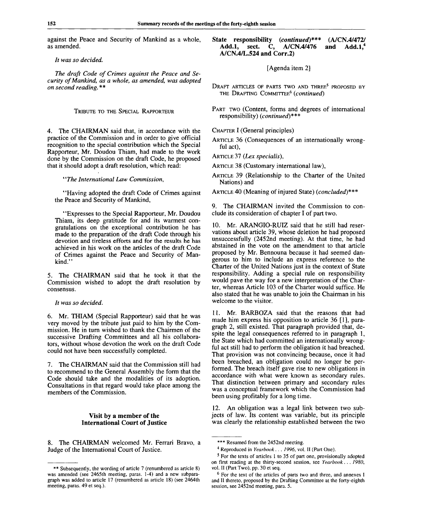against the Peace and Security of Mankind as a whole, as amended.

// *was so decided.*

*The draft Code of Crimes against the Peace and Security of Mankind, as a whole, as amended, was adopted on second reading. \*\**

TRIBUTE TO THE SPECIAL RAPPORTEUR

4. The CHAIRMAN said that, in accordance with the practice of the Commission and in order to give official recognition to the special contribution which the Special Rapporteur, Mr. Doudou Thiam, had made to the work done by the Commission on the draft Code, he proposed that it should adopt a draft resolution, which read:

*"The International Law Commission,*

"Having adopted the draft Code of Crimes against the Peace and Security of Mankind,

"Expresses to the Special Rapporteur, Mr. Doudou Thiam, its deep gratitude for and its warmest congratulations on the exceptional contribution he has made to the preparation of the draft Code through his devotion and tireless efforts and for the results he has achieved in his work on the articles of the draft Code of Crimes against the Peace and Security of Mankind."

5. The CHAIRMAN said that he took it that the Commission wished to adopt the draft resolution by consensus.

*It was so decided.*

6. Mr. THIAM (Special Rapporteur) said that he was very moved by the tribute just paid to him by the Commission. He in turn wished to thank the Chairmen of the successive Drafting Committees and all his collaborators, without whose devotion the work on the draft Code could not have been successfully completed.

7. The CHAIRMAN said that the Commission still had to recommend to the General Assembly the form that the Code should take and the modalities of its adoption. Consultations in that regard would take place among the members of the Commission.

#### **Visit by a member of the International Court of Justice**

8. The CHAIRMAN welcomed Mr. Ferrari Bravo, a Judge of the International Court of Justice.

#### **State responsibility** *(continued)\*\*\** **(A/CN.4/472/ Add.l, sect. C, A/CN.4/476 and Add.l,<sup>4</sup> A/CN.4/L.524 and Corr.2)**

[Agenda item 2]

Draft articles of parts two and three<sup>s</sup> proposed by THE DRAFTING COMMITTEE<sup>6</sup>  *(continued)*

PART TWO (Content, forms and degrees of international responsibility) *(continued)\*\*\**

CHAPTER I (General principles)

ARTICLE 36 (Consequences of an internationally wrongful act),

ARTICLE 37 *(Lex specialis),*

ARTICLE 38 (Customary international law),

ARTICLE 39 (Relationship to the Charter of the United Nations) and

ARTICLE 40 (Meaning of injured State) *(concluded)\*\*\**

9. The CHAIRMAN invited the Commission to conclude its consideration of chapter I of part two.

10. Mr. ARANGIO-RUIZ said that he still had reservations about article 39, whose deletion he had proposed unsuccessfully (2452nd meeting). At that time, he had abstained in the vote on the amendment to that article proposed by Mr. Bennouna because it had seemed dangerous to him to include an express reference to the Charter of the United Nations just in the context of State responsibility. Adding a special rule on responsibility would pave the way for a new interpretation of the Charter, whereas Article 103 of the Charter would suffice. He also stated that he was unable to join the Chairman in his welcome to the visitor.

11. Mr. BARBOZA said that the reasons that had made him express his opposition to article 36 [1], paragraph 2, still existed. That paragraph provided that, despite the legal consequences referred to in paragraph 1, the State which had committed an internationally wrongful act still had to perform the obligation it had breached. That provision was not convincing because, once it had been breached, an obligation could no longer be performed. The breach itself gave rise to new obligations in accordance with what were known as secondary rules. That distinction between primary and secondary rules was a conceptual framework which the Commission had been using profitably for a long time.

12. An obligation was a legal link between two subjects of law. Its content was variable, but its principle was clearly the relationship established between the two

<sup>\*\*</sup> Subsequently, the wording of article 7 (renumbered as article 8) was amended (see 2465th meeting, paras. 1-4) and a new subparagraph was added to article 17 (renumbered as article 18) (see 2464th meeting, paras. 49 et seq.).

<sup>\*\*\*</sup> Resumed from the 2452nd meeting.

<sup>4</sup> Reproduced in *Yearbook . . . 1996,* vol. II (Part One).

<sup>&</sup>lt;sup>5</sup> For the texts of articles 1 to 35 of part one, provisionally adopted on first reading at the thirty-second session, see *Yearbook*. . . *1980,* vol. II (Part Two), pp. 30 et seq.

<sup>&</sup>lt;sup>6</sup> For the text of the articles of parts two and three, and annexes I and II thereto, proposed by the Drafting Committee at the forty-eighth session, see 2452nd meeting, para. 5.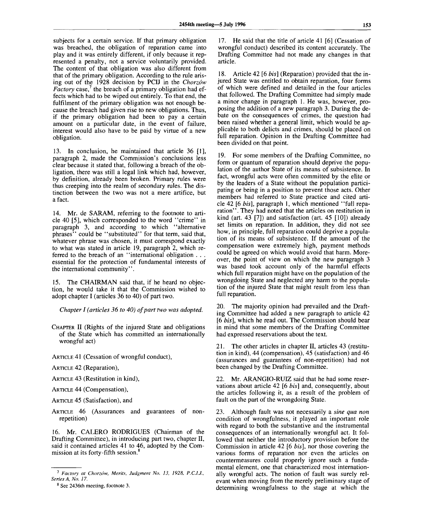subjects for a certain service. If that primary obligation was breached, the obligation of reparation came into play and it was entirely different, if only because it represented a penalty, not a service voluntarily provided. The content of that obligation was also different from that of the primary obligation. According to the rule arising out of the 1928 decision by PCIJ in the *Chorzow Factory* case,<sup>7</sup> the breach of a primary obligation had effects which had to be wiped out entirely. To that end, the fulfilment of the primary obligation was not enough because the breach had given rise to new obligations. Thus, if the primary obligation had been to pay a certain amount on a particular date, in the event of failure, interest would also have to be paid by virtue of a new obligation.

13. In conclusion, he maintained that article 36 [1], paragraph 2, made the Commission's conclusions less clear because it stated that, following a breach of the obligation, there was still a legal link which had, however, by definition, already been broken. Primary rules were thus creeping into the realm of secondary rules. The distinction between the two was not a mere artifice, but a fact.

14. Mr. de SARAM, referring to the footnote to article 40 [5], which corresponded to the word "crime" in paragraph 3, and according to which "alternative phrases" could be "substituted" for that term, said that, whatever phrase was chosen, it must correspond exactly to what was stated in article 19, paragraph 2, which referred to the breach of an "international obligation . . . essential for the protection of fundamental interests of the international community".

15. The CHAIRMAN said that, if he heard no objection, he would take it that the Commission wished to adopt chapter I (articles 36 to 40) of part two.

*Chapter I (articles 36 to 40) of part two was adopted.*

CHAPTER II (Rights of the injured State and obligations of the State which has committed an internationally wrongful act)

ARTICLE 41 (Cessation of wrongful conduct),

ARTICLE 42 (Reparation),

ARTICLE 43 (Restitution in kind),

ARTICLE 44 (Compensation),

ARTICLE 45 (Satisfaction), and

ARTICLE 46 (Assurances and guarantees of nonrepetition)

16. Mr. CALERO RODRIGUES (Chairman of the Drafting Committee), in introducing part two, chapter II, said it contained articles 41 to 46, adopted by the Commission at its forty-fifth session.<sup>8</sup>

17. He said that the title of article 41 [6] (Cessation of wrongful conduct) described its content accurately. The Drafting Committee had not made any changes in that article.

18. Article 42 [6 *bis]* (Reparation) provided that the injured State was entitled to obtain reparation, four forms of which were defined and detailed in the four articles that followed. The Drafting Committee had simply made a minor change in paragraph 1. He was, however, proposing the addition of a new paragraph 3. During the debate on the consequences of crimes, the question had been raised whether a general limit, which would be applicable to both delicts and crimes, should be placed on full reparation. Opinion in the Drafting Committee had been divided on that point.

19. For some members of the Drafting Committee, no form or quantum of reparation should deprive the population of the author State of its means of subsistence. In fact, wrongful acts were often committed by the elite or by the leaders of a State without the population participating or being in a position to prevent those acts. Other members had referred to State practice and cited article 42 [6 *bis],* paragraph 1, which mentioned "full reparation". They had noted that the articles on restitution in kind (art. 43 [7]) and satisfaction (art. 45 [10]) already set limits on reparation. In addition, they did not see how, in principle, full reparation could deprive a population of its means of subsistence. If the amount of the compensation were extremely high, payment methods could be agreed on which would avoid that harm. Moreover, the point of view on which the new paragraph 3 was based took account only of the harmful effects which full reparation might have on the population of the wrongdoing State and neglected any harm to the population of the injured State that might result from less than full reparation.

20. The majority opinion had prevailed and the Drafting Committee had added a new paragraph to article 42 [6 *bis],* which he read out. The Commission should bear in mind that some members of the Drafting Committee had expressed reservations about the text.

21. The other articles in chapter II, articles 43 (restitution in kind), 44 (compensation), 45 (satisfaction) and 46 (assurances and guarantees of non-repetition) had not been changed by the Drafting Committee.

22. Mr. ARANGIO-RUIZ said that he had some reservations about article 42 [6 *bis]* and, consequently, about the articles following it, as a result of the problem of fault on the part of the wrongdoing State.

23. Although fault was not necessarily a *sine qua non* condition of wrongfulness, it played an important role with regard to both the substantive and the instrumental consequences of an internationally wrongful act. It followed that neither the introductory provision before the Commission in article 42 [6 *bis],* nor those covering the various forms of reparation nor even the articles on countermeasures could properly ignore such a fundamental element, one that characterized most internationally wrongful acts. The notion of fault was surely relevant when moving from the merely preliminary stage of determining wrongfulness to the stage at which the

<sup>7</sup>  *Factory at Chorzow, Merits, Judgment No. 13, 1928, P.C.I.J., Series A, No. 17.*

<sup>&</sup>lt;sup>8</sup> See 2436th meeting, footnote 3.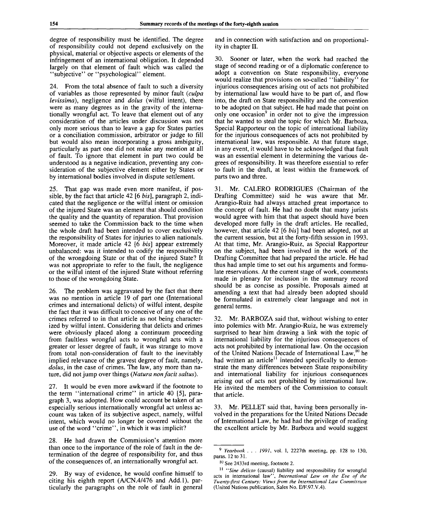degree of responsibility must be identified. The degree of responsibility could not depend exclusively on the physical, material or objective aspects or elements of the infringement of an international obligation. It depended largely on that element of fault which was called the "subjective" or "psychological" element.

24. From the total absence of fault to such a diversity of variables as those represented by minor fault *(culpa levissima),* negligence and *dolus* (wilful intent), there were as many degrees as in the gravity of the internationally wrongful act. To leave that element out of any consideration of the articles under discussion was not only more serious than to leave a gap for States parties or a conciliation commission, arbitrator or judge to fill but would also mean incorporating a gross ambiguity, particularly as part one did not make any mention at all of fault. To ignore that element in part two could be understood as a negative indication, preventing any consideration of the subjective element either by States or by international bodies involved in dispute settlement.

25. That gap was made even more manifest, if possible, by the fact that article 42 [6 *bis],* paragraph 2, indicated that the negligence or the wilful intent or omission of the injured State was an element that should condition the quality and the quantity of reparation. That provision seemed to take the Commission back to the time when the whole draft had been intended to cover exclusively the responsibility of States for injuries to alien nationals. Moreover, it made article 42 [6 *bis]* appear extremely unbalanced: was it intended to codify the responsibility of the wrongdoing State or that of the injured State? It was not appropriate to refer to the fault, the negligence or the wilful intent of the injured State without referring to those of the wrongdoing State.

26. The problem was aggravated by the fact that there was no mention in article 19 of part one (International crimes and international delicts) of wilful intent, despite the fact that it was difficult to conceive of any one of the crimes referred to in that article as not being characterized by wilful intent. Considering that delicts and crimes were obviously placed along a continuum proceeding from faultless wrongful acts to wrongful acts with a greater or lesser degree of fault, it was strange to move from total non-consideration of fault to the inevitably implied relevance of the gravest degree of fault, namely, *dolus,* in the case of crimes. The law, any more than nature, did not jump over things *(Natura nonfacit saltus).*

27. It would be even more awkward if the footnote to the term "international crime" in article 40 [5], paragraph 3, was adopted. How could account be taken of an especially serious internationally wrongful act unless account was taken of its subjective aspect, namely, wilful intent, which would no longer be covered without the use of the word "crime", in which it was implicit?

28. He had drawn the Commission's attention more than once to the importance of the role of fault in the determination of the degree of responsibility for, and thus of the consequences of, an internationally wrongful act.

29. By way of evidence, he would confine himself to citing his eighth report (A/CN.4/476 and Add.l), particularly the paragraphs on the role of fault in general and in connection with satisfaction and on proportionality in chapter II.

30. Sooner or later, when the work had reached the stage of second reading or of a diplomatic conference to adopt a convention on State responsibility, everyone would realize that provisions on so-called "liability" for injurious consequences arising out of acts not prohibited by international law would have to be part of, and flow into, the draft on State responsibility and the convention to be adopted on that subject. He had made that point on only one  $\alpha$  occasion<sup>9</sup> in order not to give the impression that he wanted to steal the topic for which Mr. Barboza, Special Rapporteur on the topic of international liability for the injurious consequences of acts not prohibited by international law, was responsible. At that future stage, in any event, it would have to be acknowledged that fault was an essential element in determining the various degrees of responsibility. It was therefore essential to refer to fault in the draft, at least within the framework of parts two and three.

31. Mr. CALERO RODRIGUES (Chairman of the Drafting Committee) said he was aware that Mr. Arangio-Ruiz had always attached great importance to the concept of fault. He had no doubt that many jurists would agree with him that that aspect should have been developed more fully in the draft articles. He recalled, however, that article 42 [6 *bis]* had been adopted, not at the current session, but at the forty-fifth session in 1993. At that time, Mr. Arangio-Ruiz, as Special Rapporteur on the subject, had been involved in the work of the Drafting Committee that had prepared the article. He had thus had ample time to set out his arguments and formulate reservations. At the current stage of work, comments made in plenary for inclusion in the summary record should be as concise as possible. Proposals aimed at amending a text that had already been adopted should be formulated in extremely clear language and not in general terms.

32. Mr. BARBOZA said that, without wishing to enter into polemics with Mr. Arangio-Ruiz, he was extremely surprised to hear him drawing a link with the topic of international liability for the injurious consequences of acts not prohibited by international law. On the occasion of the United Nations Decade of International Law,<sup>10</sup> he had written an article<sup>11</sup> intended specifically to demonstrate the many differences between State responsibility and international liability for injurious consequences arising out of acts not prohibited by international law. He invited the members of the Commission to consult that article.

33. Mr. PELLET said that, having been personally involved in the preparations for the United Nations Decade of International Law, he had had the privilege of reading the excellent article by Mr. Barboza and would suggest

<sup>9</sup>  *Yearbook . . . 199],* vol. I, 2227th meeting, pp. 128 to 130, paras. 12 to 31.

<sup>&</sup>lt;sup>10</sup> See 2433rd meeting, footnote 2.

<sup>11</sup>  *"Sine delicto* (causal) liability and responsibility for wrongful acts in international law", *International Law on the Eve of the Twenty-first Century: Views from the International Law Commission* (United Nations publication, Sales No. E/F.97.V.4).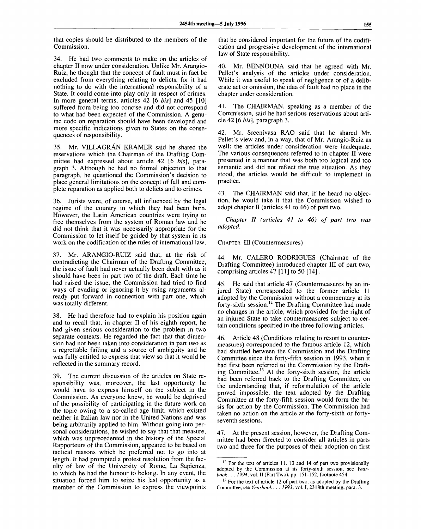that copies should be distributed to the members of the Commission.

34. He had two comments to make on the articles of chapter II now under consideration. Unlike Mr. Arangio-Ruiz, he thought that the concept of fault must in fact be excluded from everything relating to delicts, for it had nothing to do with the international responsibility of a State. It could come into play only in respect of crimes. In more general terms, articles 42 [6 *bis]* and 45 [10] suffered from being too concise and did not correspond to what had been expected of the Commission. A genuine code on reparation should have been developed and more specific indications given to States on the consequences of responsibility.

35. Mr. VILLAGRAN KRAMER said he shared the reservations which the Chairman of the Drafting Committee had expressed about article 42 [6 *bis],* paragraph 3. Although he had no formal objection to that paragraph, he questioned the Commission's decision to place general limitations on the concept of full and complete reparation as applied both to delicts and to crimes.

36. Jurists were, of course, all influenced by the legal regime of the country in which they had been born. However, the Latin American countries were trying to free themselves from the system of Roman law and he did not think that it was necessarily appropriate for the Commission to let itself be guided by that system in its work on the codification of the rules of international law.

37. Mr. ARANGIO-RUIZ said that, at the risk of contradicting the Chairman of the Drafting Committee, the issue of fault had never actually been dealt with as it should have been in part two of the draft. Each time he had raised the issue, the Commission had tried to find ways of evading or ignoring it by using arguments already put forward in connection with part one, which was totally different.

38. He had therefore had to explain his position again and to recall that, in chapter II of his eighth report, he had given serious consideration to the problem in two separate contexts. He regarded the fact that that dimension had not been taken into consideration in part two as a regrettable failing and a source of ambiguity and he was fully entitled to express that view so that it would be reflected in the summary record.

39. The current discussion of the articles on State responsibility was, moreover, the last opportunity he would have to express himself on the subject in the Commission. As everyone knew, he would be deprived of the possibility of participating in the future work on the topic owing to a so-called age limit, which existed neither in Italian law nor in the United Nations and was being arbitrarily applied to him. Without going into personal considerations, he wished to say that that measure, which was unprecedented in the history of the Special Rapporteurs of the Commission, appeared to be based on tactical reasons which he preferred not to go into at length. It had prompted a protest resolution from the faculty of law of the University of Rome, La Sapienza, to which he had the honour to belong. In any event, the situation forced him to seize his last opportunity as a member of the Commission to express the viewpoints

that he considered important for the future of the codification and progressive development of the international law of State responsibility.

40. Mr. BENNOUNA said that he agreed with Mr. Pellet's analysis of the articles under consideration. While it was useful to speak of negligence or of a deliberate act or omission, the idea of fault had no place in the chapter under consideration.

41. The CHAIRMAN, speaking as a member of the Commission, said he had serious reservations about article 42 [6 *bis],* paragraph 3.

42. Mr. Sreenivasa RAO said that he shared Mr. Pellet's view and, in a way, that of Mr. Arangio-Ruiz as well: the articles under consideration were inadequate. The various consequences referred to in chapter II were presented in a manner that was both too logical and too semantic and did not reflect the true situation. As they stood, the articles would be difficult to implement in practice.

43. The CHAIRMAN said that, if he heard no objection, he would take it that the Commission wished to adopt chapter II (articles 41 to 46) of part two.

*Chapter II (articles 41 to 46) of part two was adopted.*

CHAPTER III (Countermeasures)

44. Mr. CALERO RODRIGUES (Chairman of the Drafting Committee) introduced chapter III of part two, comprising articles 47 [11] to 50 [14] .

45. He said that article 47 (Countermeasures by an injured State) corresponded to the former article 11 adopted by the Commission without a commentary at its forty-sixth session.<sup>12</sup> The Drafting Committee had made no changes in the article, which provided for the right of an injured State to take countermeasures subject to certain conditions specified in the three following articles.

46. Article 48 (Conditions relating to resort to countermeasures) corresponded to the famous article 12, which had shuttled between the Commission and the Drafting Committee since the forty-fifth session in 1993, when it had first been referred to the Commission by the Drafting Committee.<sup>13</sup> At the forty-sixth session, the article had been referred back to the Drafting Committee, on the understanding that, if reformulation of the article proved impossible, the text adopted by the Drafting Committee at the forty-fifth session would form the basis for action by the Commission. The Commission had taken no action on the article at the forty-sixth or fortyseventh sessions.

47. At the present session, however, the Drafting Committee had been directed to consider all articles in parts two and three for the purposes of their adoption on first

 $12$  For the text of articles 11, 13 and 14 of part two provisionally adopted by the Commission at its forty-sixth session, see *Yearbook . .. 1994,* vol. II (Part Two), pp. 151-152, footnote 454.

 $13$  For the text of article 12 of part two, as adopted by the Drafting Committee, see *Yearbook.* . . *1993,* vol. I, 2318th meeting, para. 3.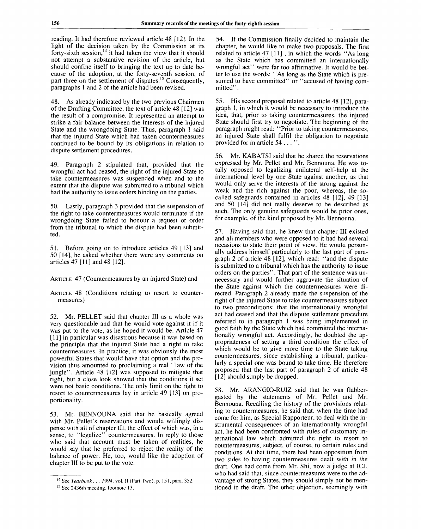reading. It had therefore reviewed article 48 [12]. In the light of the decision taken by the Commission at its forty-sixth session,<sup>14</sup> it had taken the view that it should not attempt a substantive revision of the article, but should confine itself to bringing the text up to date because of the adoption, at the forty-seventh session, of part three on the settlement of disputes.<sup>15</sup> Consequently, paragraphs 1 and 2 of the article had been revised.

48. As already indicated by the two previous Chairmen of the Drafting Committee, the text of article 48 [12] was the result of a compromise. It represented an attempt to strike a fair balance between the interests of the injured State and the wrongdoing State. Thus, paragraph 1 said that the injured State which had taken countermeasures continued to be bound by its obligations in relation to dispute settlement procedures.

49. Paragraph 2 stipulated that, provided that the wrongful act had ceased, the right of the injured State to take countermeasures was suspended when and to the extent that the dispute was submitted to a tribunal which had the authority to issue orders binding on the parties.

50. Lastly, paragraph 3 provided that the suspension of the right to take countermeasures would terminate if the wrongdoing State failed to honour a request or order from the tribunal to which the dispute had been submitted.

51. Before going on to introduce articles 49 [13] and 50 [14], he asked whether there were any comments on articles 47 [11] and 48 [12].

ARTICLE 47 (Countermeasures by an injured State) and

ARTICLE 48 (Conditions relating to resort to countermeasures)

52. Mr. PELLET said that chapter III as a whole was very questionable and that he would vote against it if it was put to the vote, as he hoped it would be. Article 47 [11] in particular was disastrous because it was based on the principle that the injured State had a right to take countermeasures. In practice, it was obviously the most powerful States that would have that option and the provision thus amounted to proclaiming a real "law of the jungle". Article 48 [12] was supposed to mitigate that right, but a close look showed that the conditions it set were not basic conditions. The only limit on the right to resort to countermeasures lay in article 49 [13] on proportionality.

53. Mr. BENNOUNA said that he basically agreed with Mr. Pellet's reservations and would willingly dispense with all of chapter III, the effect of which was, in a sense, to "legalize" countermeasures. In reply to those who said that account must be taken of realities, he would say that he preferred to reject the reality of the balance of power. He, too, would like the adoption of chapter HI to be put to the vote.

54. If the Commission finally decided to maintain the chapter, he would like to make two proposals. The first related to article 47 [11] , in which the words "As long as the State which has committed an internationally wrongful act" were far too affirmative. It would be better to use the words: "As long as the State which is presumed to have committed" or "accused of having committed".

55. His second proposal related to article 48 [12], paragraph 1, in which it would be necessary to introduce the idea, that, prior to taking countermeasures, the injured State should first try to negotiate. The beginning of the paragraph might read: "Prior to taking countermeasures, an injured State shall fulfil the obligation to negotiate provided for in article 54 . . . ".

56. Mr. KABATSI said that he shared the reservations expressed by Mr. Pellet and Mr. Bennouna. He was totally opposed to legalizing unilateral self-help at the international level by one State against another, as that would only serve the interests of the strong against the weak and the rich against the poor, whereas, the socalled safeguards contained in articles 48 [12], 49 [13] and 50 [14] did not really deserve to be described as such. The only genuine safeguards would be prior ones, for example, of the kind proposed by Mr. Bennouna.

57. Having said that, he knew that chapter III existed and all members who were opposed to it had had several occasions to state their point of view. He would personally address himself particularly to the last part of paragraph 2 of article 48 [12], which read: "and the dispute is submitted to a tribunal which has the authority to issue orders on the parties". That part of the sentence was unnecessary and would further aggravate the situation of the State against which the countermeasures were directed. Paragraph 2 already made the suspension of the right of the injured State to take countermeasures subject to two preconditions: that the internationally wrongful act had ceased and that the dispute settlement procedure referred to in paragraph 1 was being implemented in good faith by the State which had committed the internationally wrongful act. Accordingly, he doubted the appropriateness of setting a third condition the effect of which would be to give more time to the State taking countermeasures, since establishing a tribunal, particularly a special one was bound to take time. He therefore proposed that the last part of paragraph 2 of article 48 [12] should simply be dropped.

58. Mr. ARANGIO-RUIZ said that he was flabbergasted by the statements of Mr. Pellet and Mr. Bennouna. Recalling the history of the provisions relating to countermeasures, he said that, when the time had come for him, as Special Rapporteur, to deal with the instrumental consequences of an internationally wrongful act, he had been confronted with rules of customary international law which admitted the right to resort to countermeasures, subject, of course, to certain rules and conditions. At that time, there had been opposition from two sides to having countermeasures dealt with in the draft. One had come from Mr. Shi, now a judge at ICJ, who had said that, since countermeasures were to the advantage of strong States, they should simply not be mentioned in the draft. The other objection, seemingly with

<sup>14</sup> See *Yearbook. . . 1994,* vol. II (Part Two), p. 151, para. 352.

<sup>&</sup>lt;sup>15</sup> See 2436th meeting, footnote 13.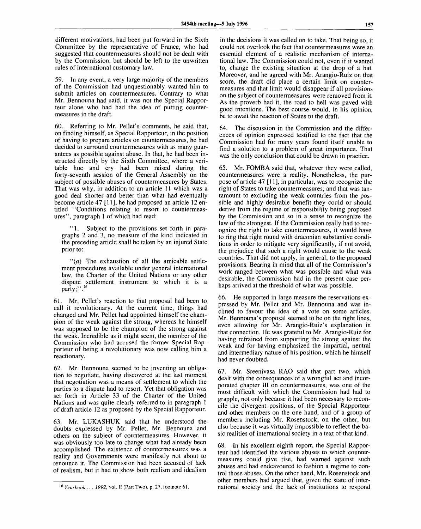different motivations, had been put forward in the Sixth Committee by the representative of France, who had suggested that countermeasures should not be dealt with by the Commission, but should be left to the unwritten rules of international customary law.

59. In any event, a very large majority of the members of the Commission had unquestionably wanted him to submit articles on countermeasures. Contrary to what Mr. Bennouna had said, it was not the Special Rapporteur alone who had had the idea of putting countermeasures in the draft.

60. Referring to Mr. Pellet's comments, he said that, on finding himself, as Special Rapporteur, in the position of having to prepare articles on countermeasures, he had decided to surround countermeasures with as many guarantees as possible against abuse. In that, he had been instructed directly by the Sixth Committee, where a veritable hue and cry had been raised during the forty-seventh session of the General Assembly on the subject of possible abuses of countermeasures by States. That was why, in addition to an article 11 which was a good deal shorter and better than what had eventually become article 47 [11], he had proposed an article 12 entitled "Conditions relating to resort to countermeasures", paragraph 1 of which had read:

"1. Subject to the provisions set forth in paragraphs 2 and 3, no measure of the kind indicated in the preceding article shall be taken by an injured State prior to:

 $(a)$  The exhaustion of all the amicable settlement procedures available under general international law, the Charter of the United Nations or any other dispute settlement instrument to which it is a party;".<sup>16</sup>

61. Mr. Pellet's reaction to that proposal had been to call it revolutionary. At the current time, things had changed and Mr. Pellet had appointed himself the champion of the weak against the strong, whereas he himself was supposed to be the champion of the strong against the weak. Incredible as it might seem, the member of the Commission who had accused the former Special Rapporteur of being a revolutionary was now calling him a reactionary.

62. Mr. Bennouna seemed to be inventing an obligation to negotiate, having discovered at the last moment that negotiation was a means of settlement to which the parties to a dispute had to resort. Yet that obligation was set forth in Article 33 of the Charter of the United Nations and was quite clearly referred to in paragraph 1 of draft article 12 as proposed by the Special Rapporteur.

63. Mr. LUKASHUK said that he understood the doubts expressed by Mr. Pellet, Mr. Bennouna and others on the subject of countermeasures. However, it was obviously too late to change what had already been accomplished. The existence of countermeasures was a reality and Governments were manifestly not about to renounce it. The Commission had been accused of lack of realism, but it had to show both realism and idealism

in the decisions it was called on to take. That being so, it could not overlook the fact that countermeasures were an essential element of a realistic mechanism of international law. The Commission could not, even if it wanted to, change the existing situation at the drop of a hat. Moreover, and he agreed with Mr. Arangio-Ruiz on that score, the draft did place a certain limit on countermeasures and that limit would disappear if all provisions on the subject of countermeasures were removed from it. As the proverb had it, the road to hell was paved with good intentions. The best course would, in his opinion, be to await the reaction of States to the draft.

64. The discussion in the Commission and the differences of opinion expressed testified to the fact that the Commission had for many years found itself unable to find a solution to a problem of great importance. That was the only conclusion that could be drawn in practice.

65. Mr. FOMBA said that, whatever they were called, countermeasures were a reality. Nonetheless, the purpose of article 47 [11], in particular, was to recognize the right of States to take countermeasures, and that was tantamount to excluding the weak countries from the possible and highly desirable benefit they could or should derive from the regime of responsibility being proposed by the Commission and so in a sense to recognize the law of the strongest. If the Commission really had to recognize the right to take countermeasures, it would have to ring that right round with draconian substantive conditions in order to mitigate very significantly, if not avoid, the prejudice that such a right would cause to the weak countries. That did not apply, in general, to the proposed provisions. Bearing in mind that all of the Commission's work ranged between what was possible and what was desirable, the Commission had in the present case perhaps arrived at the threshold of what was possible.

66. He supported in large measure the reservations expressed by Mr. Pellet and Mr. Bennouna and was inclined to favour the idea of a vote on some articles. Mr. Bennouna's proposal seemed to be on the right lines, even allowing for Mr. Arangio-Ruiz's explanation in that connection. He was grateful to Mr. Arangio-Ruiz for having refrained from supporting the strong against the weak and for having emphasized the impartial, neutral and intermediary nature of his position, which he himself had never doubted.

67. Mr. Sreenivasa RAO said that part two, which dealt with the consequences of a wrongful act and incorporated chapter III on countermeasures, was one of the most difficult with which the Commission had had to grapple, not only because it had been necessary to reconcile the divergent positions, of the Special Rapporteur and other members on the one hand, and of a group of members including Mr. Rosenstock, on the other, but also because it was virtually impossible to reflect the basic realities of international society in a text of that kind.

68. In his excellent eighth report, the Special Rapporteur had identified the various abuses to which countermeasures could give rise, had warned against such abuses and had endeavoured to fashion a regime to control those abuses. On the other hand, Mr. Rosenstock and other members had argued that, given the state of international society and the lack of institutions to respond

<sup>16</sup>  *Yearbook . . . 1992,* vol. II (Part Two), p. 27, footnote 61.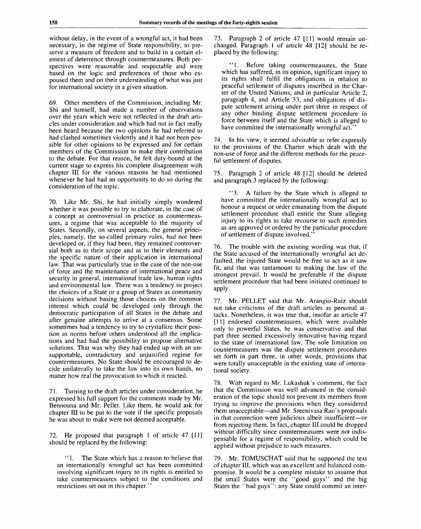without delay, in the event of a wrongful act, it had been necessary, in the regime of State responsibility, to preserve a measure of freedom and to build in a certain element of deterrence through countermeasures. Both perspectives were reasonable and respectable and were based on the logic and preferences of those who espoused them and on their understanding of what was just for international society in a given situation.

69. Other members of the Commission, including Mr. Shi and himself, had made a number of observations over the years which were not reflected in the draft articles under consideration and which had not in fact really been heard because the two opinions he had referred to had clashed sometimes violently and it had not been possible for other opinions to be expressed and for certain members of the Commission to make their contribution to the debate. For that reason, he felt duty-bound at the current stage to express his complete disagreement with chapter III for the various reasons he had mentioned whenever he had had an opportunity to do so during the consideration of the topic.

70. Like Mr. Shi, he had initially simply wondered whether it was possible to try to elaborate, in the case of a concept as controversial in practice as countermeasures, a regime that was acceptable to the majority of States. Secondly, on several aspects, the general principles, namely, the so-called primary rules, had not been developed or, if they had been, they remained controversial both as to their scope and as to their elements and the specific nature of their application in international law. That was particularly true in the case of the non-use of force and the maintenance of international peace and security in general, international trade law, human rights and environmental law. There was a tendency to project the choices of a State or a group of States as community decisions without basing those choices on the common interest which could be developed only through the democratic participation of all States in the debate and after genuine attempts to arrive at a consensus. Some sometimes had a tendency to try to crystallize their position as norms before others understood all the implications and had had the possibility to propose alternative solutions. That was why they had ended up with an unsupportable, contradictory and unjustified regime for countermeasures. No State should be encouraged to decide unilaterally to take the law into its own hands, no matter how real the provocation to which it reacted.

71. Turning to the draft articles under consideration, he expressed his full support for the comments made by Mr. Bennouna and Mr. Pellet. Like them, he would ask for chapter III to be put to the vote if the specific proposals he was about to make were not deemed acceptable.

72. He proposed that paragraph 1 of article 47 [11] should be replaced by the following:

"1. The State which has a reason to believe that an internationally wrongful act has been committed involving significant injury to its rights is entitled to take countermeasures subject to the conditions and restrictions set out in this chapter.'

73. Paragraph 2 of article 47 [11] would remain unchanged. Paragraph 1 of article 48 [12] should be replaced by the following:

"... Before taking countermeasures, the State which has suffered, in its opinion, significant injury to its rights shall fulfil the obligations in relation to peaceful settlement of disputes inscribed in the Charter of the United Nations, and in particular Article 2, paragraph 4, and Article 33, and obligations of dispute settlement arising under part three in respect of any other binding dispute settlement procedure in force between itself and the State which is alleged to have committed the internationally wrongful act."

74. In his view, it seemed advisable to refer expressly to the provisions of the Charter which dealt with the non-use of force and the different methods for the peaceful settlement of disputes.

75. Paragraph 2 of article 48 [12] should be deleted and paragraph 3 replaced by the following:

"3. A failure by the State which is alleged to have committed the internationally wrongful act to honour a request or order emanating from the dispute settlement procedure shall entitle the State alleging injury to its rights to take recourse to such remedies as are approved or ordered by the particular procedure of settlement of dispute involved."

76. The trouble with the existing wording was that, if the State accused of the internationally wrongful act defaulted, the injured State would be free to act as it saw fit, and that was tantamount to making the law of the strongest prevail. It would be preferable if the dispute settlement procedure that had been initiated continued to apply.

77. Mr. PELLET said that Mr. Arangio-Ruiz should not take criticisms of the draft articles as personal attacks. Nonetheless, it was true that, insofar as article 47 [11] endorsed countermeasures, which were available only to powerful States, he was conservative and that part three seemed excessively innovative having regard to the state of international law. The sole limitation on countermeasures was the dispute settlement procedures set forth in part three, in other words, provisions that were totally unacceptable in the existing state of international society.

78. With regard to Mr. Lukashuk's comment, the fact that the Commission was well advanced in the consideration of the topic should not prevent its members from trying to improve the provisions when they considered them unacceptable—and Mr. Sreenivasa Rao's proposals in that connection were judicious albeit insufficient—or from rejecting them. In fact, chapter III could be dropped without difficulty since countermeasures were not indispensable for a regime of responsibility, which could be applied without prejudice to such measures.

79. Mr. TOMUSCHAT said that he supported the text of chapter III, which was an excellent and balanced compromise. It would be a complete mistake to assume that the small States were the "good guys" and the big States the "bad guys": any State could commit an inter